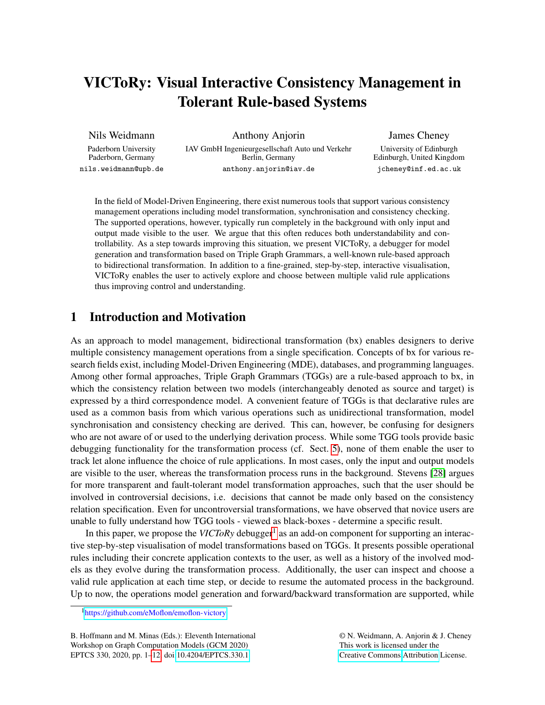# VICToRy: Visual Interactive Consistency Management in Tolerant Rule-based Systems

Nils Weidmann

Anthony Anjorin

Paderborn University Paderborn, Germany nils.weidmann@upb.de

IAV GmbH Ingenieurgesellschaft Auto und Verkehr Berlin, Germany anthony.anjorin@iav.de

James Cheney University of Edinburgh Edinburgh, United Kingdom jcheney@inf.ed.ac.uk

In the field of Model-Driven Engineering, there exist numerous tools that support various consistency management operations including model transformation, synchronisation and consistency checking. The supported operations, however, typically run completely in the background with only input and output made visible to the user. We argue that this often reduces both understandability and controllability. As a step towards improving this situation, we present VICToRy, a debugger for model generation and transformation based on Triple Graph Grammars, a well-known rule-based approach to bidirectional transformation. In addition to a fine-grained, step-by-step, interactive visualisation, VICToRy enables the user to actively explore and choose between multiple valid rule applications thus improving control and understanding.

## 1 Introduction and Motivation

As an approach to model management, bidirectional transformation (bx) enables designers to derive multiple consistency management operations from a single specification. Concepts of bx for various research fields exist, including Model-Driven Engineering (MDE), databases, and programming languages. Among other formal approaches, Triple Graph Grammars (TGGs) are a rule-based approach to bx, in which the consistency relation between two models (interchangeably denoted as source and target) is expressed by a third correspondence model. A convenient feature of TGGs is that declarative rules are used as a common basis from which various operations such as unidirectional transformation, model synchronisation and consistency checking are derived. This can, however, be confusing for designers who are not aware of or used to the underlying derivation process. While some TGG tools provide basic debugging functionality for the transformation process (cf. Sect. [5\)](#page-7-0), none of them enable the user to track let alone influence the choice of rule applications. In most cases, only the input and output models are visible to the user, whereas the transformation process runs in the background. Stevens [\[28\]](#page-11-1) argues for more transparent and fault-tolerant model transformation approaches, such that the user should be involved in controversial decisions, i.e. decisions that cannot be made only based on the consistency relation specification. Even for uncontroversial transformations, we have observed that novice users are unable to fully understand how TGG tools - viewed as black-boxes - determine a specific result.

In this paper, we propose the *VICToRy* debugger<sup>[1](#page-0-0)</sup> as an add-on component for supporting an interactive step-by-step visualisation of model transformations based on TGGs. It presents possible operational rules including their concrete application contexts to the user, as well as a history of the involved models as they evolve during the transformation process. Additionally, the user can inspect and choose a valid rule application at each time step, or decide to resume the automated process in the background. Up to now, the operations model generation and forward/backward transformation are supported, while

B. Hoffmann and M. Minas (Eds.): Eleventh International Workshop on Graph Computation Models (GCM 2020) EPTCS 330, 2020, pp. 1[–12,](#page-11-0) doi[:10.4204/EPTCS.330.1](http://dx.doi.org/10.4204/EPTCS.330.1)

© N. Weidmann, A. Anjorin & J. Cheney This work is licensed under the [Creative Commons](http://creativecommons.org) [Attribution](http://creativecommons.org/licenses/by/3.0/) License.

<span id="page-0-0"></span><sup>1</sup><https://github.com/eMoflon/emoflon-victory>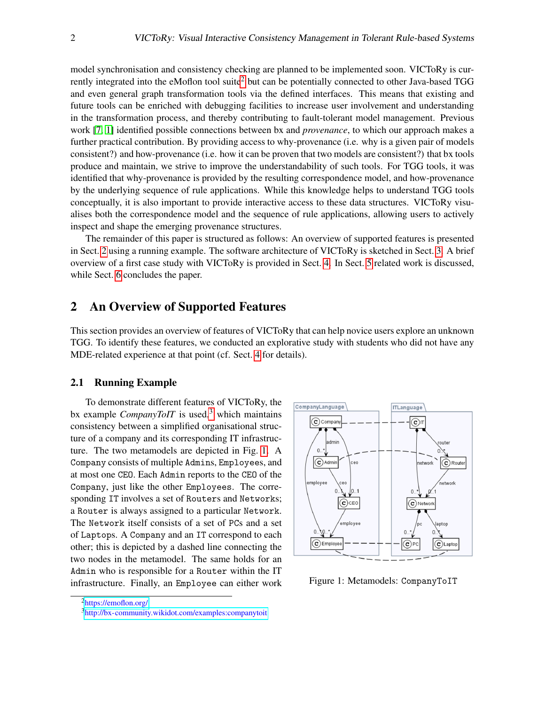model synchronisation and consistency checking are planned to be implemented soon. VICToRy is cur-rently integrated into the eMoflon tool suite<sup>[2](#page-1-0)</sup> but can be potentially connected to other Java-based TGG and even general graph transformation tools via the defined interfaces. This means that existing and future tools can be enriched with debugging facilities to increase user involvement and understanding in the transformation process, and thereby contributing to fault-tolerant model management. Previous work [\[7,](#page-9-0) [1\]](#page-9-1) identified possible connections between bx and *provenance*, to which our approach makes a further practical contribution. By providing access to why-provenance (i.e. why is a given pair of models consistent?) and how-provenance (i.e. how it can be proven that two models are consistent?) that bx tools produce and maintain, we strive to improve the understandability of such tools. For TGG tools, it was identified that why-provenance is provided by the resulting correspondence model, and how-provenance by the underlying sequence of rule applications. While this knowledge helps to understand TGG tools conceptually, it is also important to provide interactive access to these data structures. VICToRy visualises both the correspondence model and the sequence of rule applications, allowing users to actively inspect and shape the emerging provenance structures.

The remainder of this paper is structured as follows: An overview of supported features is presented in Sect. [2](#page-1-1) using a running example. The software architecture of VICToRy is sketched in Sect. [3.](#page-4-0) A brief overview of a first case study with VICToRy is provided in Sect. [4.](#page-5-0) In Sect. [5](#page-7-0) related work is discussed, while Sect. [6](#page-8-0) concludes the paper.

## <span id="page-1-1"></span>2 An Overview of Supported Features

This section provides an overview of features of VICToRy that can help novice users explore an unknown TGG. To identify these features, we conducted an explorative study with students who did not have any MDE-related experience at that point (cf. Sect. [4](#page-5-0) for details).

#### 2.1 Running Example

To demonstrate different features of VICToRy, the bx example *CompanyToIT* is used,<sup>[3](#page-1-2)</sup> which maintains consistency between a simplified organisational structure of a company and its corresponding IT infrastructure. The two metamodels are depicted in Fig. [1.](#page-1-3) A Company consists of multiple Admins, Employees, and at most one CEO. Each Admin reports to the CEO of the Company, just like the other Employees. The corresponding IT involves a set of Routers and Networks; a Router is always assigned to a particular Network. The Network itself consists of a set of PCs and a set of Laptops. A Company and an IT correspond to each other; this is depicted by a dashed line connecting the two nodes in the metamodel. The same holds for an Admin who is responsible for a Router within the IT infrastructure. Finally, an Employee can either work



<span id="page-1-3"></span>Figure 1: Metamodels: CompanyToIT

<span id="page-1-0"></span><sup>2</sup><https://emoflon.org/>

<span id="page-1-2"></span><sup>3</sup><http://bx-community.wikidot.com/examples:companytoit>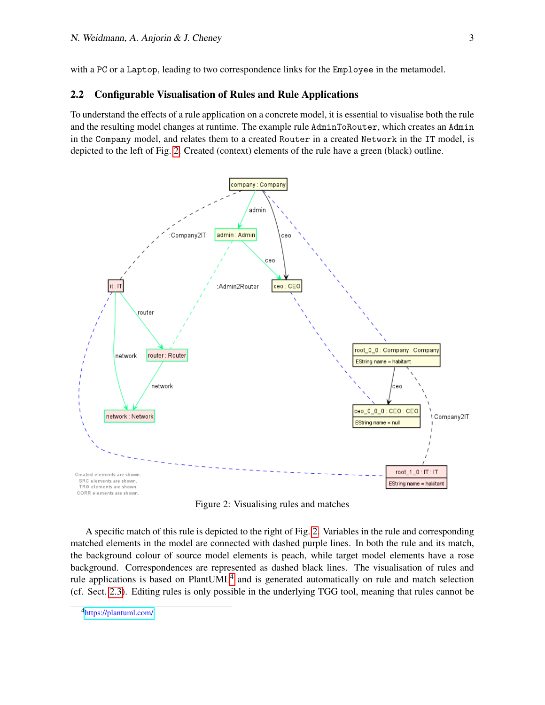with a PC or a Laptop, leading to two correspondence links for the Employee in the metamodel.

#### <span id="page-2-2"></span>2.2 Configurable Visualisation of Rules and Rule Applications

To understand the effects of a rule application on a concrete model, it is essential to visualise both the rule and the resulting model changes at runtime. The example rule AdminToRouter, which creates an Admin in the Company model, and relates them to a created Router in a created Network in the IT model, is depicted to the left of Fig. [2.](#page-2-0) Created (context) elements of the rule have a green (black) outline.



<span id="page-2-0"></span>Figure 2: Visualising rules and matches

A specific match of this rule is depicted to the right of Fig. [2.](#page-2-0) Variables in the rule and corresponding matched elements in the model are connected with dashed purple lines. In both the rule and its match, the background colour of source model elements is peach, while target model elements have a rose background. Correspondences are represented as dashed black lines. The visualisation of rules and rule applications is based on Plant $UML<sup>4</sup>$  $UML<sup>4</sup>$  $UML<sup>4</sup>$  and is generated automatically on rule and match selection (cf. Sect. [2.3\)](#page-3-0). Editing rules is only possible in the underlying TGG tool, meaning that rules cannot be

<span id="page-2-1"></span><sup>4</sup><https://plantuml.com/>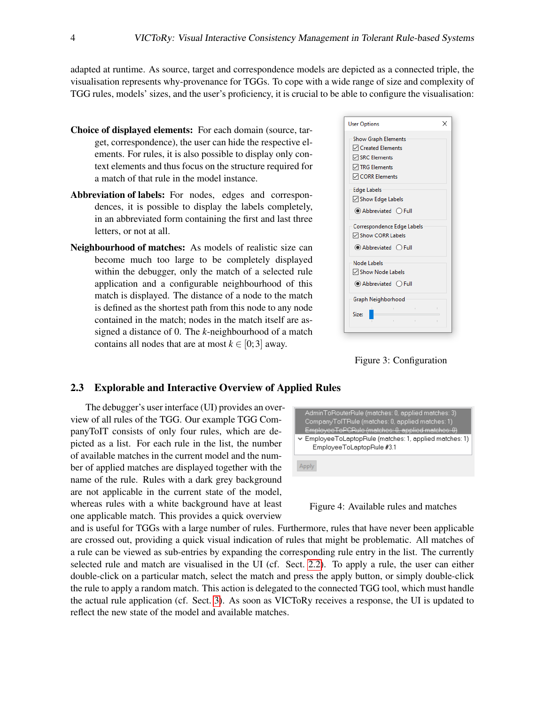adapted at runtime. As source, target and correspondence models are depicted as a connected triple, the visualisation represents why-provenance for TGGs. To cope with a wide range of size and complexity of TGG rules, models' sizes, and the user's proficiency, it is crucial to be able to configure the visualisation:

- Choice of displayed elements: For each domain (source, target, correspondence), the user can hide the respective elements. For rules, it is also possible to display only context elements and thus focus on the structure required for a match of that rule in the model instance.
- Abbreviation of labels: For nodes, edges and correspondences, it is possible to display the labels completely, in an abbreviated form containing the first and last three letters, or not at all.
- Neighbourhood of matches: As models of realistic size can become much too large to be completely displayed within the debugger, only the match of a selected rule application and a configurable neighbourhood of this match is displayed. The distance of a node to the match is defined as the shortest path from this node to any node contained in the match; nodes in the match itself are assigned a distance of 0. The *k*-neighbourhood of a match contains all nodes that are at most  $k \in [0, 3]$  away.

| <b>User Options</b>                                                                                                                            | × |
|------------------------------------------------------------------------------------------------------------------------------------------------|---|
| <b>Show Graph Elements</b><br><b>∞</b> Created Elements<br><b>▽ SRC Elements</b><br><b><del>○</del> TRG Elements</b><br><b>∞ CORR Elements</b> |   |
| <b>Edge Labels</b>                                                                                                                             |   |
| <b>√</b> Show Edge Labels                                                                                                                      |   |
| <b>■</b> Abbreviated ● Full                                                                                                                    |   |
| Correspondence Edge Labels                                                                                                                     |   |
| <b>∞</b> Show CORR Labels                                                                                                                      |   |
| <b>Abbreviated</b> OFull                                                                                                                       |   |
| Node Labels                                                                                                                                    |   |
| <b>▽ Show Node Labels</b>                                                                                                                      |   |
| <b>Abbreviated</b> ○ Full                                                                                                                      |   |
| Graph Neighborhood                                                                                                                             |   |
| Size:                                                                                                                                          | ï |
|                                                                                                                                                |   |

Figure 3: Configuration

#### <span id="page-3-0"></span>2.3 Explorable and Interactive Overview of Applied Rules

The debugger's user interface (UI) provides an overview of all rules of the TGG. Our example TGG CompanyToIT consists of only four rules, which are depicted as a list. For each rule in the list, the number of available matches in the current model and the number of applied matches are displayed together with the name of the rule. Rules with a dark grey background are not applicable in the current state of the model, whereas rules with a white background have at least one applicable match. This provides a quick overview



Figure 4: Available rules and matches

and is useful for TGGs with a large number of rules. Furthermore, rules that have never been applicable are crossed out, providing a quick visual indication of rules that might be problematic. All matches of a rule can be viewed as sub-entries by expanding the corresponding rule entry in the list. The currently selected rule and match are visualised in the UI (cf. Sect. [2.2\)](#page-2-2). To apply a rule, the user can either double-click on a particular match, select the match and press the apply button, or simply double-click the rule to apply a random match. This action is delegated to the connected TGG tool, which must handle the actual rule application (cf. Sect. [3\)](#page-4-0). As soon as VICToRy receives a response, the UI is updated to reflect the new state of the model and available matches.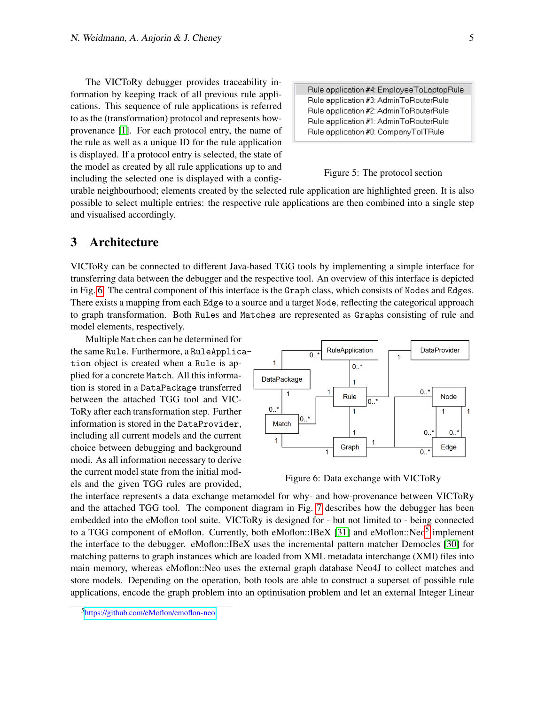The VICToRy debugger provides traceability information by keeping track of all previous rule applications. This sequence of rule applications is referred to as the (transformation) protocol and represents howprovenance [\[1\]](#page-9-1). For each protocol entry, the name of the rule as well as a unique ID for the rule application is displayed. If a protocol entry is selected, the state of the model as created by all rule applications up to and including the selected one is displayed with a config-

Rule application #4: EmployeeToLaptopRule Rule application #3: AdminToRouterRule Rule application #2: AdminToRouterRule Rule application #1: AdminToRouterRule Rule application #0: CompanyTolTRule

#### Figure 5: The protocol section

urable neighbourhood; elements created by the selected rule application are highlighted green. It is also possible to select multiple entries: the respective rule applications are then combined into a single step and visualised accordingly.

## <span id="page-4-0"></span>3 Architecture

VICToRy can be connected to different Java-based TGG tools by implementing a simple interface for transferring data between the debugger and the respective tool. An overview of this interface is depicted in Fig. [6.](#page-4-1) The central component of this interface is the Graph class, which consists of Nodes and Edges. There exists a mapping from each Edge to a source and a target Node, reflecting the categorical approach to graph transformation. Both Rules and Matches are represented as Graphs consisting of rule and model elements, respectively.

Multiple Matches can be determined for the same Rule. Furthermore, a RuleApplication object is created when a Rule is applied for a concrete Match. All this information is stored in a DataPackage transferred between the attached TGG tool and VIC-ToRy after each transformation step. Further information is stored in the DataProvider, including all current models and the current choice between debugging and background modi. As all information necessary to derive the current model state from the initial models and the given TGG rules are provided,



<span id="page-4-1"></span>Figure 6: Data exchange with VICToRy

the interface represents a data exchange metamodel for why- and how-provenance between VICToRy and the attached TGG tool. The component diagram in Fig. [7](#page-5-1) describes how the debugger has been embedded into the eMoflon tool suite. VICToRy is designed for - but not limited to - being connected to a TGG component of eMoflon. Currently, both eMoflon::IBeX [\[31\]](#page-11-2) and eMoflon::Neo<sup>[5](#page-4-2)</sup> implement the interface to the debugger. eMoflon::IBeX uses the incremental pattern matcher Democles [\[30\]](#page-11-3) for matching patterns to graph instances which are loaded from XML metadata interchange (XMI) files into main memory, whereas eMoflon::Neo uses the external graph database Neo4J to collect matches and store models. Depending on the operation, both tools are able to construct a superset of possible rule applications, encode the graph problem into an optimisation problem and let an external Integer Linear

<span id="page-4-2"></span><sup>5</sup><https://github.com/eMoflon/emoflon-neo>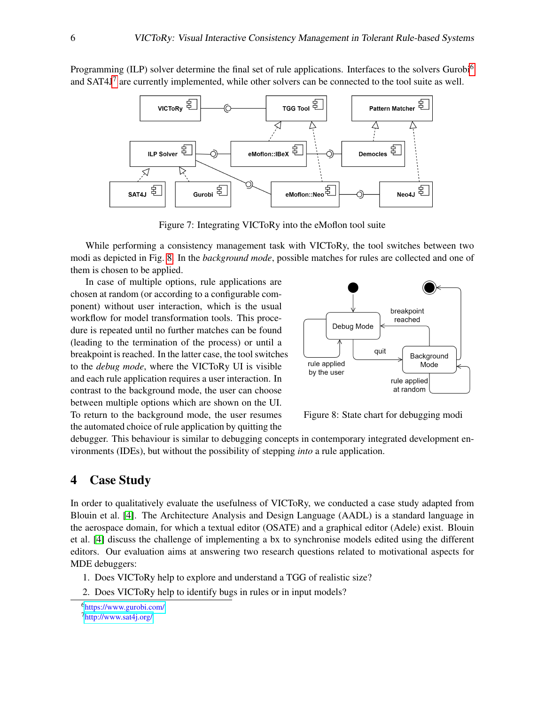Programming (ILP) solver determine the final set of rule applications. Interfaces to the solvers Gurobi<sup>[6](#page-5-2)</sup> and SAT4J<sup>[7](#page-5-3)</sup> are currently implemented, while other solvers can be connected to the tool suite as well.



Figure 7: Integrating VICToRy into the eMoflon tool suite

While performing a consistency management task with VICToRy, the tool switches between two modi as depicted in Fig. [8.](#page-5-4) In the *background mode*, possible matches for rules are collected and one of them is chosen to be applied.

In case of multiple options, rule applications are chosen at random (or according to a configurable component) without user interaction, which is the usual workflow for model transformation tools. This procedure is repeated until no further matches can be found (leading to the termination of the process) or until a breakpoint is reached. In the latter case, the tool switches to the *debug mode*, where the VICToRy UI is visible and each rule application requires a user interaction. In contrast to the background mode, the user can choose between multiple options which are shown on the UI. To return to the background mode, the user resumes the automated choice of rule application by quitting the

<span id="page-5-1"></span>

<span id="page-5-4"></span>Figure 8: State chart for debugging modi

debugger. This behaviour is similar to debugging concepts in contemporary integrated development environments (IDEs), but without the possibility of stepping *into* a rule application.

## <span id="page-5-0"></span>4 Case Study

In order to qualitatively evaluate the usefulness of VICToRy, we conducted a case study adapted from Blouin et al. [\[4\]](#page-9-2). The Architecture Analysis and Design Language (AADL) is a standard language in the aerospace domain, for which a textual editor (OSATE) and a graphical editor (Adele) exist. Blouin et al. [\[4\]](#page-9-2) discuss the challenge of implementing a bx to synchronise models edited using the different editors. Our evaluation aims at answering two research questions related to motivational aspects for MDE debuggers:

- 1. Does VICToRy help to explore and understand a TGG of realistic size?
- 2. Does VICToRy help to identify bugs in rules or in input models?

<span id="page-5-3"></span><span id="page-5-2"></span><sup>6</sup><https://www.gurobi.com/> <sup>7</sup><http://www.sat4j.org/>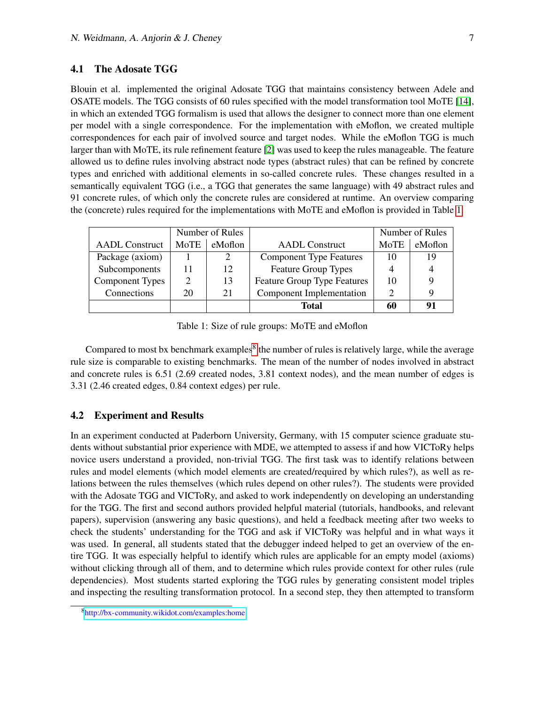#### 4.1 The Adosate TGG

Blouin et al. implemented the original Adosate TGG that maintains consistency between Adele and OSATE models. The TGG consists of 60 rules specified with the model transformation tool MoTE [\[14\]](#page-10-0), in which an extended TGG formalism is used that allows the designer to connect more than one element per model with a single correspondence. For the implementation with eMoflon, we created multiple correspondences for each pair of involved source and target nodes. While the eMoflon TGG is much larger than with MoTE, its rule refinement feature [\[2\]](#page-9-3) was used to keep the rules manageable. The feature allowed us to define rules involving abstract node types (abstract rules) that can be refined by concrete types and enriched with additional elements in so-called concrete rules. These changes resulted in a semantically equivalent TGG (i.e., a TGG that generates the same language) with 49 abstract rules and 91 concrete rules, of which only the concrete rules are considered at runtime. An overview comparing the (concrete) rules required for the implementations with MoTE and eMoflon is provided in Table [1.](#page-6-0)

|                       | Number of Rules             |         |                                    | Number of Rules |         |
|-----------------------|-----------------------------|---------|------------------------------------|-----------------|---------|
| <b>AADL</b> Construct | <b>MoTE</b>                 | eMoflon | <b>AADL</b> Construct              | MoTE            | eMoflon |
| Package (axiom)       |                             | 2       | <b>Component Type Features</b>     | 10              | 19      |
| Subcomponents         | 11                          | 12      | <b>Feature Group Types</b>         |                 |         |
| Component Types       | $\mathcal{D}_{\mathcal{L}}$ | 13      | <b>Feature Group Type Features</b> | 10              | 9       |
| Connections           | 20                          | 21      | <b>Component Implementation</b>    |                 | q       |
|                       |                             |         | Total                              | 60              | 91      |

<span id="page-6-0"></span>Table 1: Size of rule groups: MoTE and eMoflon

Compared to most bx benchmark examples<sup>[8](#page-6-1)</sup> the number of rules is relatively large, while the average rule size is comparable to existing benchmarks. The mean of the number of nodes involved in abstract and concrete rules is 6.51 (2.69 created nodes, 3.81 context nodes), and the mean number of edges is 3.31 (2.46 created edges, 0.84 context edges) per rule.

#### 4.2 Experiment and Results

In an experiment conducted at Paderborn University, Germany, with 15 computer science graduate students without substantial prior experience with MDE, we attempted to assess if and how VICToRy helps novice users understand a provided, non-trivial TGG. The first task was to identify relations between rules and model elements (which model elements are created/required by which rules?), as well as relations between the rules themselves (which rules depend on other rules?). The students were provided with the Adosate TGG and VICToRy, and asked to work independently on developing an understanding for the TGG. The first and second authors provided helpful material (tutorials, handbooks, and relevant papers), supervision (answering any basic questions), and held a feedback meeting after two weeks to check the students' understanding for the TGG and ask if VICToRy was helpful and in what ways it was used. In general, all students stated that the debugger indeed helped to get an overview of the entire TGG. It was especially helpful to identify which rules are applicable for an empty model (axioms) without clicking through all of them, and to determine which rules provide context for other rules (rule dependencies). Most students started exploring the TGG rules by generating consistent model triples and inspecting the resulting transformation protocol. In a second step, they then attempted to transform

<span id="page-6-1"></span><sup>8</sup><http://bx-community.wikidot.com/examples:home>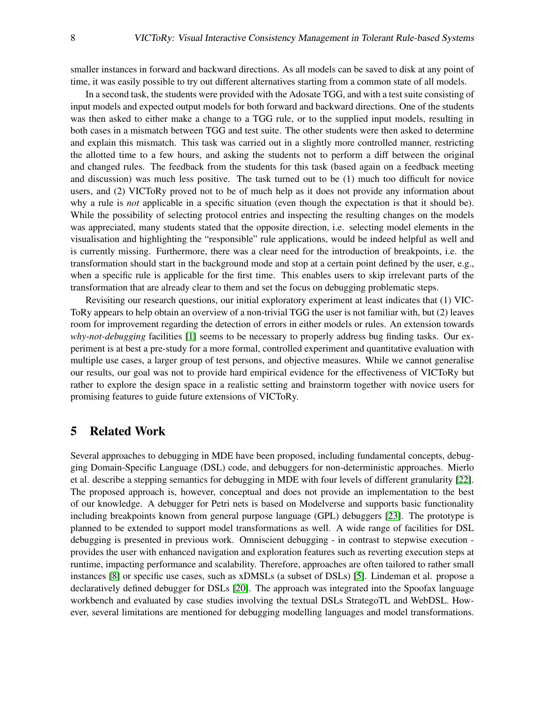smaller instances in forward and backward directions. As all models can be saved to disk at any point of time, it was easily possible to try out different alternatives starting from a common state of all models.

In a second task, the students were provided with the Adosate TGG, and with a test suite consisting of input models and expected output models for both forward and backward directions. One of the students was then asked to either make a change to a TGG rule, or to the supplied input models, resulting in both cases in a mismatch between TGG and test suite. The other students were then asked to determine and explain this mismatch. This task was carried out in a slightly more controlled manner, restricting the allotted time to a few hours, and asking the students not to perform a diff between the original and changed rules. The feedback from the students for this task (based again on a feedback meeting and discussion) was much less positive. The task turned out to be (1) much too difficult for novice users, and (2) VICToRy proved not to be of much help as it does not provide any information about why a rule is *not* applicable in a specific situation (even though the expectation is that it should be). While the possibility of selecting protocol entries and inspecting the resulting changes on the models was appreciated, many students stated that the opposite direction, i.e. selecting model elements in the visualisation and highlighting the "responsible" rule applications, would be indeed helpful as well and is currently missing. Furthermore, there was a clear need for the introduction of breakpoints, i.e. the transformation should start in the background mode and stop at a certain point defined by the user, e.g., when a specific rule is applicable for the first time. This enables users to skip irrelevant parts of the transformation that are already clear to them and set the focus on debugging problematic steps.

Revisiting our research questions, our initial exploratory experiment at least indicates that (1) VIC-ToRy appears to help obtain an overview of a non-trivial TGG the user is not familiar with, but (2) leaves room for improvement regarding the detection of errors in either models or rules. An extension towards *why-not-debugging* facilities [\[1\]](#page-9-1) seems to be necessary to properly address bug finding tasks. Our experiment is at best a pre-study for a more formal, controlled experiment and quantitative evaluation with multiple use cases, a larger group of test persons, and objective measures. While we cannot generalise our results, our goal was not to provide hard empirical evidence for the effectiveness of VICToRy but rather to explore the design space in a realistic setting and brainstorm together with novice users for promising features to guide future extensions of VICToRy.

#### <span id="page-7-0"></span>5 Related Work

Several approaches to debugging in MDE have been proposed, including fundamental concepts, debugging Domain-Specific Language (DSL) code, and debuggers for non-deterministic approaches. Mierlo et al. describe a stepping semantics for debugging in MDE with four levels of different granularity [\[22\]](#page-10-1). The proposed approach is, however, conceptual and does not provide an implementation to the best of our knowledge. A debugger for Petri nets is based on Modelverse and supports basic functionality including breakpoints known from general purpose language (GPL) debuggers [\[23\]](#page-10-2). The prototype is planned to be extended to support model transformations as well. A wide range of facilities for DSL debugging is presented in previous work. Omniscient debugging - in contrast to stepwise execution provides the user with enhanced navigation and exploration features such as reverting execution steps at runtime, impacting performance and scalability. Therefore, approaches are often tailored to rather small instances [\[8\]](#page-9-4) or specific use cases, such as xDMSLs (a subset of DSLs) [\[5\]](#page-9-5). Lindeman et al. propose a declaratively defined debugger for DSLs [\[20\]](#page-10-3). The approach was integrated into the Spoofax language workbench and evaluated by case studies involving the textual DSLs StrategoTL and WebDSL. However, several limitations are mentioned for debugging modelling languages and model transformations.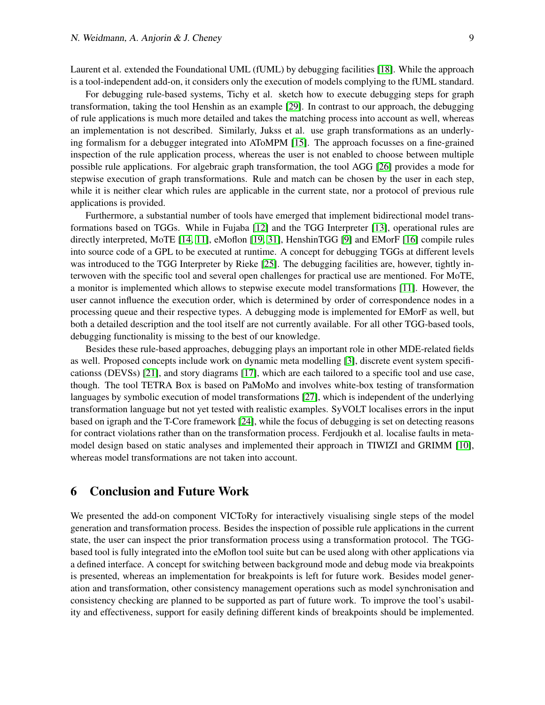Laurent et al. extended the Foundational UML (fUML) by debugging facilities [\[18\]](#page-10-4). While the approach is a tool-independent add-on, it considers only the execution of models complying to the fUML standard.

For debugging rule-based systems, Tichy et al. sketch how to execute debugging steps for graph transformation, taking the tool Henshin as an example [\[29\]](#page-11-4). In contrast to our approach, the debugging of rule applications is much more detailed and takes the matching process into account as well, whereas an implementation is not described. Similarly, Jukss et al. use graph transformations as an underlying formalism for a debugger integrated into AToMPM [\[15\]](#page-10-5). The approach focusses on a fine-grained inspection of the rule application process, whereas the user is not enabled to choose between multiple possible rule applications. For algebraic graph transformation, the tool AGG [\[26\]](#page-10-6) provides a mode for stepwise execution of graph transformations. Rule and match can be chosen by the user in each step, while it is neither clear which rules are applicable in the current state, nor a protocol of previous rule applications is provided.

Furthermore, a substantial number of tools have emerged that implement bidirectional model transformations based on TGGs. While in Fujaba [\[12\]](#page-10-7) and the TGG Interpreter [\[13\]](#page-10-8), operational rules are directly interpreted, MoTE [\[14,](#page-10-0) [11\]](#page-9-6), eMoflon [\[19,](#page-10-9) [31\]](#page-11-2), HenshinTGG [\[9\]](#page-9-7) and EMorF [\[16\]](#page-10-10) compile rules into source code of a GPL to be executed at runtime. A concept for debugging TGGs at different levels was introduced to the TGG Interpreter by Rieke [\[25\]](#page-10-11). The debugging facilities are, however, tightly interwoven with the specific tool and several open challenges for practical use are mentioned. For MoTE, a monitor is implemented which allows to stepwise execute model transformations [\[11\]](#page-9-6). However, the user cannot influence the execution order, which is determined by order of correspondence nodes in a processing queue and their respective types. A debugging mode is implemented for EMorF as well, but both a detailed description and the tool itself are not currently available. For all other TGG-based tools, debugging functionality is missing to the best of our knowledge.

Besides these rule-based approaches, debugging plays an important role in other MDE-related fields as well. Proposed concepts include work on dynamic meta modelling [\[3\]](#page-9-8), discrete event system specificationss (DEVSs) [\[21\]](#page-10-12), and story diagrams [\[17\]](#page-10-13), which are each tailored to a specific tool and use case, though. The tool TETRA Box is based on PaMoMo and involves white-box testing of transformation languages by symbolic execution of model transformations [\[27\]](#page-10-14), which is independent of the underlying transformation language but not yet tested with realistic examples. SyVOLT localises errors in the input based on igraph and the T-Core framework [\[24\]](#page-10-15), while the focus of debugging is set on detecting reasons for contract violations rather than on the transformation process. Ferdjoukh et al. localise faults in metamodel design based on static analyses and implemented their approach in TIWIZI and GRIMM [\[10\]](#page-9-9), whereas model transformations are not taken into account.

### <span id="page-8-0"></span>6 Conclusion and Future Work

We presented the add-on component VICToRy for interactively visualising single steps of the model generation and transformation process. Besides the inspection of possible rule applications in the current state, the user can inspect the prior transformation process using a transformation protocol. The TGGbased tool is fully integrated into the eMoflon tool suite but can be used along with other applications via a defined interface. A concept for switching between background mode and debug mode via breakpoints is presented, whereas an implementation for breakpoints is left for future work. Besides model generation and transformation, other consistency management operations such as model synchronisation and consistency checking are planned to be supported as part of future work. To improve the tool's usability and effectiveness, support for easily defining different kinds of breakpoints should be implemented.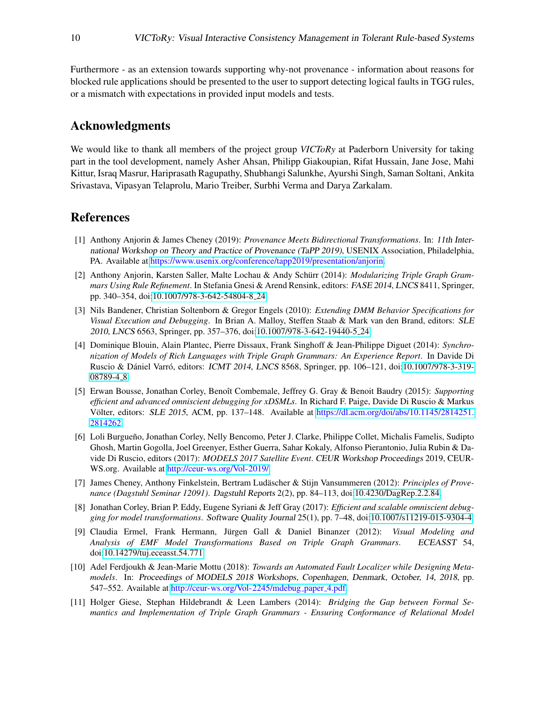Furthermore - as an extension towards supporting why-not provenance - information about reasons for blocked rule applications should be presented to the user to support detecting logical faults in TGG rules, or a mismatch with expectations in provided input models and tests.

## Acknowledgments

We would like to thank all members of the project group *VICToRy* at Paderborn University for taking part in the tool development, namely Asher Ahsan, Philipp Giakoupian, Rifat Hussain, Jane Jose, Mahi Kittur, Israq Masrur, Hariprasath Ragupathy, Shubhangi Salunkhe, Ayurshi Singh, Saman Soltani, Ankita Srivastava, Vipasyan Telaprolu, Mario Treiber, Surbhi Verma and Darya Zarkalam.

## References

- <span id="page-9-1"></span>[1] Anthony Anjorin & James Cheney (2019): *Provenance Meets Bidirectional Transformations*. In: 11th International Workshop on Theory and Practice of Provenance (TaPP 2019), USENIX Association, Philadelphia, PA. Available at [https://www.usenix.org/conference/tapp2019/presentation/anjorin.](https://www.usenix.org/conference/tapp2019/presentation/anjorin)
- <span id="page-9-3"></span>[2] Anthony Anjorin, Karsten Saller, Malte Lochau & Andy Schürr (2014): *Modularizing Triple Graph Grammars Using Rule Refinement*. In Stefania Gnesi & Arend Rensink, editors: FASE 2014, LNCS 8411, Springer, pp. 340–354, doi[:10.1007/978-3-642-54804-8](http://dx.doi.org/10.1007/978-3-642-54804-8_24) 24.
- <span id="page-9-8"></span>[3] Nils Bandener, Christian Soltenborn & Gregor Engels (2010): *Extending DMM Behavior Specifications for Visual Execution and Debugging*. In Brian A. Malloy, Steffen Staab & Mark van den Brand, editors: SLE 2010, LNCS 6563, Springer, pp. 357–376, doi[:10.1007/978-3-642-19440-5](http://dx.doi.org/10.1007/978-3-642-19440-5_24) 24.
- <span id="page-9-2"></span>[4] Dominique Blouin, Alain Plantec, Pierre Dissaux, Frank Singhoff & Jean-Philippe Diguet (2014): *Synchronization of Models of Rich Languages with Triple Graph Grammars: An Experience Report*. In Davide Di Ruscio & Dániel Varró, editors: ICMT 2014, LNCS 8568, Springer, pp. 106-121, doi[:10.1007/978-3-319-](http://dx.doi.org/10.1007/978-3-319-08789-4_8) [08789-4](http://dx.doi.org/10.1007/978-3-319-08789-4_8)\_8.
- <span id="page-9-5"></span>[5] Erwan Bousse, Jonathan Corley, Benoît Combemale, Jeffrey G. Gray & Benoit Baudry (2015): *Supporting efficient and advanced omniscient debugging for xDSMLs*. In Richard F. Paige, Davide Di Ruscio & Markus Völter, editors: SLE 2015, ACM, pp. 137–148. Available at [https://dl.acm.org/doi/abs/10.1145/2814251.](https://dl.acm.org/doi/abs/10.1145/2814251.2814262) [2814262.](https://dl.acm.org/doi/abs/10.1145/2814251.2814262)
- <span id="page-9-10"></span>[6] Loli Burgueño, Jonathan Corley, Nelly Bencomo, Peter J. Clarke, Philippe Collet, Michalis Famelis, Sudipto Ghosh, Martin Gogolla, Joel Greenyer, Esther Guerra, Sahar Kokaly, Alfonso Pierantonio, Julia Rubin & Davide Di Ruscio, editors (2017): *MODELS 2017 Satellite Event*. CEUR Workshop Proceedings 2019, CEUR-WS.org. Available at [http://ceur-ws.org/Vol-2019/.](http://ceur-ws.org/Vol-2019/)
- <span id="page-9-0"></span>[7] James Cheney, Anthony Finkelstein, Bertram Ludäscher & Stijn Vansummeren (2012): *Principles of Provenance (Dagstuhl Seminar 12091)*. Dagstuhl Reports 2(2), pp. 84–113, doi[:10.4230/DagRep.2.2.84.](http://dx.doi.org/10.4230/DagRep.2.2.84)
- <span id="page-9-4"></span>[8] Jonathan Corley, Brian P. Eddy, Eugene Syriani & Jeff Gray (2017): *Efficient and scalable omniscient debugging for model transformations*. Software Quality Journal 25(1), pp. 7–48, doi[:10.1007/s11219-015-9304-4.](http://dx.doi.org/10.1007/s11219-015-9304-4)
- <span id="page-9-7"></span>[9] Claudia Ermel, Frank Hermann, Jurgen Gall & Daniel Binanzer (2012): ¨ *Visual Modeling and Analysis of EMF Model Transformations Based on Triple Graph Grammars*. ECEASST 54, doi[:10.14279/tuj.eceasst.54.771.](http://dx.doi.org/10.14279/tuj.eceasst.54.771)
- <span id="page-9-9"></span>[10] Adel Ferdjoukh & Jean-Marie Mottu (2018): *Towards an Automated Fault Localizer while Designing Metamodels*. In: Proceedings of MODELS 2018 Workshops, Copenhagen, Denmark, October, 14, 2018, pp. 547–552. Available at [http://ceur-ws.org/Vol-2245/mdebug](http://ceur-ws.org/Vol-2245/mdebug_paper_4.pdf)\_paper\_4.pdf.
- <span id="page-9-6"></span>[11] Holger Giese, Stephan Hildebrandt & Leen Lambers (2014): *Bridging the Gap between Formal Semantics and Implementation of Triple Graph Grammars - Ensuring Conformance of Relational Model*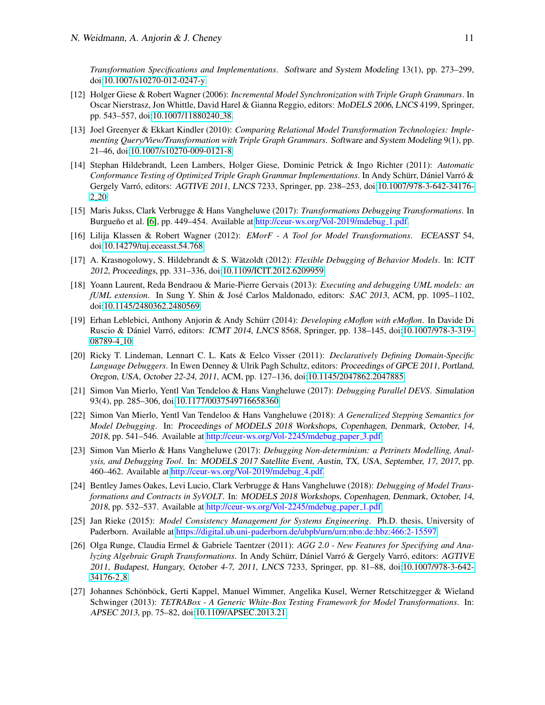*Transformation Specifications and Implementations*. Software and System Modeling 13(1), pp. 273–299, doi[:10.1007/s10270-012-0247-y.](http://dx.doi.org/10.1007/s10270-012-0247-y)

- <span id="page-10-7"></span>[12] Holger Giese & Robert Wagner (2006): *Incremental Model Synchronization with Triple Graph Grammars*. In Oscar Nierstrasz, Jon Whittle, David Harel & Gianna Reggio, editors: MoDELS 2006, LNCS 4199, Springer, pp. 543-557, doi[:10.1007/11880240](http://dx.doi.org/10.1007/11880240_38)<sub>-38</sub>.
- <span id="page-10-8"></span>[13] Joel Greenyer & Ekkart Kindler (2010): *Comparing Relational Model Transformation Technologies: Implementing Query/View/Transformation with Triple Graph Grammars*. Software and System Modeling 9(1), pp. 21–46, doi[:10.1007/s10270-009-0121-8.](http://dx.doi.org/10.1007/s10270-009-0121-8)
- <span id="page-10-0"></span>[14] Stephan Hildebrandt, Leen Lambers, Holger Giese, Dominic Petrick & Ingo Richter (2011): *Automatic Conformance Testing of Optimized Triple Graph Grammar Implementations*. In Andy Schürr, Dániel Varró & Gergely Varró, editors: AGTIVE 2011, LNCS 7233, Springer, pp. 238-253, doi[:10.1007/978-3-642-34176-](http://dx.doi.org/10.1007/978-3-642-34176-2_20) 2 [20.](http://dx.doi.org/10.1007/978-3-642-34176-2_20)
- <span id="page-10-5"></span>[15] Maris Jukss, Clark Verbrugge & Hans Vangheluwe (2017): *Transformations Debugging Transformations*. In Burgueño et al. [\[6\]](#page-9-10), pp. 449–454. Available at [http://ceur-ws.org/Vol-2019/mdebug](http://ceur-ws.org/Vol-2019/mdebug_1.pdf) 1.pdf.
- <span id="page-10-10"></span>[16] Lilija Klassen & Robert Wagner (2012): *EMorF - A Tool for Model Transformations*. ECEASST 54, doi[:10.14279/tuj.eceasst.54.768.](http://dx.doi.org/10.14279/tuj.eceasst.54.768)
- <span id="page-10-13"></span>[17] A. Krasnogolowy, S. Hildebrandt & S. Wätzoldt (2012): *Flexible Debugging of Behavior Models*. In: *ICIT* 2012, Proceedings, pp. 331–336, doi[:10.1109/ICIT.2012.6209959.](http://dx.doi.org/10.1109/ICIT.2012.6209959)
- <span id="page-10-4"></span>[18] Yoann Laurent, Reda Bendraou & Marie-Pierre Gervais (2013): *Executing and debugging UML models: an fUML extension.* In Sung Y. Shin & José Carlos Maldonado, editors: *SAC 2013*, ACM, pp. 1095–1102, doi[:10.1145/2480362.2480569.](http://dx.doi.org/10.1145/2480362.2480569)
- <span id="page-10-9"></span>[19] Erhan Leblebici, Anthony Anjorin & Andy Schürr (2014): *Developing eMoflon with eMoflon*. In Davide Di Ruscio & Dániel Varró, editors: *ICMT 2014, LNCS* 8568, Springer, pp. 138–145, doi[:10.1007/978-3-319-](http://dx.doi.org/10.1007/978-3-319-08789-4_10) [08789-4](http://dx.doi.org/10.1007/978-3-319-08789-4_10) 10.
- <span id="page-10-3"></span>[20] Ricky T. Lindeman, Lennart C. L. Kats & Eelco Visser (2011): *Declaratively Defining Domain-Specific Language Debuggers*. In Ewen Denney & Ulrik Pagh Schultz, editors: Proceedings of GPCE 2011, Portland, Oregon, USA, October 22-24, 2011, ACM, pp. 127–136, doi[:10.1145/2047862.2047885.](http://dx.doi.org/10.1145/2047862.2047885)
- <span id="page-10-12"></span>[21] Simon Van Mierlo, Yentl Van Tendeloo & Hans Vangheluwe (2017): *Debugging Parallel DEVS*. Simulation 93(4), pp. 285–306, doi[:10.1177/0037549716658360.](http://dx.doi.org/10.1177/0037549716658360)
- <span id="page-10-1"></span>[22] Simon Van Mierlo, Yentl Van Tendeloo & Hans Vangheluwe (2018): *A Generalized Stepping Semantics for Model Debugging*. In: Proceedings of MODELS 2018 Workshops, Copenhagen, Denmark, October, 14, 2018, pp. 541–546. Available at [http://ceur-ws.org/Vol-2245/mdebug](http://ceur-ws.org/Vol-2245/mdebug_paper_3.pdf) paper 3.pdf.
- <span id="page-10-2"></span>[23] Simon Van Mierlo & Hans Vangheluwe (2017): *Debugging Non-determinism: a Petrinets Modelling, Analysis, and Debugging Tool*. In: MODELS 2017 Satellite Event, Austin, TX, USA, September, 17, 2017, pp. 460–462. Available at [http://ceur-ws.org/Vol-2019/mdebug](http://ceur-ws.org/Vol-2019/mdebug_4.pdf)\_4.pdf.
- <span id="page-10-15"></span>[24] Bentley James Oakes, Levi Lucio, Clark Verbrugge & Hans Vangheluwe (2018): *Debugging of Model Transformations and Contracts in SyVOLT*. In: MODELS 2018 Workshops, Copenhagen, Denmark, October, 14, 2018, pp. 532–537. Available at [http://ceur-ws.org/Vol-2245/mdebug](http://ceur-ws.org/Vol-2245/mdebug_paper_1.pdf) paper 1.pdf.
- <span id="page-10-11"></span>[25] Jan Rieke (2015): *Model Consistency Management for Systems Engineering*. Ph.D. thesis, University of Paderborn. Available at [https://digital.ub.uni-paderborn.de/ubpb/urn/urn:nbn:de:hbz:466:2-15597.](https://digital.ub.uni-paderborn.de/ubpb/urn/urn:nbn:de:hbz:466:2-15597)
- <span id="page-10-6"></span>[26] Olga Runge, Claudia Ermel & Gabriele Taentzer (2011): *AGG 2.0 - New Features for Specifying and Analyzing Algebraic Graph Transformations*. In Andy Schürr, Dániel Varró & Gergely Varró, editors: AGTIVE 2011, Budapest, Hungary, October 4-7, 2011, LNCS 7233, Springer, pp. 81–88, doi[:10.1007/978-3-642-](http://dx.doi.org/10.1007/978-3-642-34176-2_8) [34176-2](http://dx.doi.org/10.1007/978-3-642-34176-2_8) 8.
- <span id="page-10-14"></span>[27] Johannes Schönböck, Gerti Kappel, Manuel Wimmer, Angelika Kusel, Werner Retschitzegger & Wieland Schwinger (2013): *TETRABox - A Generic White-Box Testing Framework for Model Transformations*. In: APSEC 2013, pp. 75–82, doi[:10.1109/APSEC.2013.21.](http://dx.doi.org/10.1109/APSEC.2013.21)